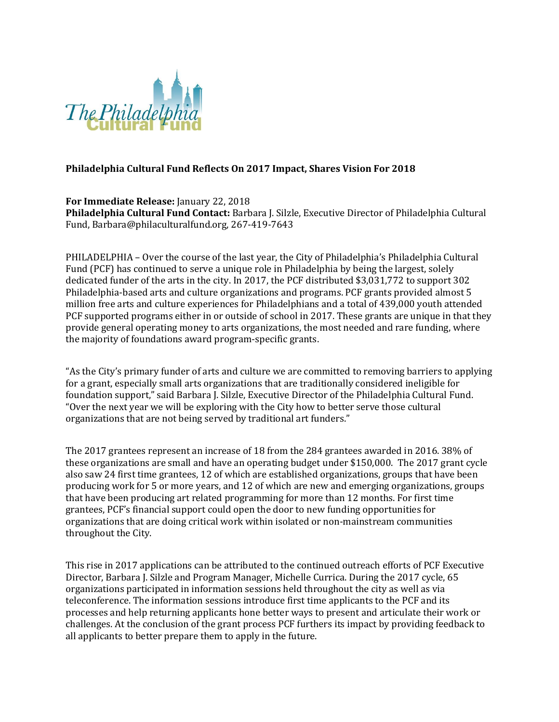

## **Philadelphia Cultural Fund Reflects On 2017 Impact, Shares Vision For 2018**

**For Immediate Release:** January 22, 2018 **Philadelphia Cultural Fund Contact:** Barbara J. Silzle, Executive Director of Philadelphia Cultural Fund, Barbara@philaculturalfund.org, 267-419-7643

PHILADELPHIA – Over the course of the last year, the City of Philadelphia's Philadelphia Cultural Fund (PCF) has continued to serve a unique role in Philadelphia by being the largest, solely dedicated funder of the arts in the city. In 2017, the PCF distributed \$3,031,772 to support 302 Philadelphia-based arts and culture organizations and programs. PCF grants provided almost 5 million free arts and culture experiences for Philadelphians and a total of 439,000 youth attended PCF supported programs either in or outside of school in 2017. These grants are unique in that they provide general operating money to arts organizations, the most needed and rare funding, where the majority of foundations award program-specific grants.

"As the City's primary funder of arts and culture we are committed to removing barriers to applying for a grant, especially small arts organizations that are traditionally considered ineligible for foundation support," said Barbara J. Silzle, Executive Director of the Philadelphia Cultural Fund. "Over the next year we will be exploring with the City how to better serve those cultural organizations that are not being served by traditional art funders."

The 2017 grantees represent an increase of 18 from the 284 grantees awarded in 2016. 38% of these organizations are small and have an operating budget under \$150,000. The 2017 grant cycle also saw 24 first time grantees, 12 of which are established organizations, groups that have been producing work for 5 or more years, and 12 of which are new and emerging organizations, groups that have been producing art related programming for more than 12 months. For first time grantees, PCF's financial support could open the door to new funding opportunities for organizations that are doing critical work within isolated or non-mainstream communities throughout the City.

This rise in 2017 applications can be attributed to the continued outreach efforts of PCF Executive Director, Barbara J. Silzle and Program Manager, Michelle Currica. During the 2017 cycle, 65 organizations participated in information sessions held throughout the city as well as via teleconference. The information sessions introduce first time applicants to the PCF and its processes and help returning applicants hone better ways to present and articulate their work or challenges. At the conclusion of the grant process PCF furthers its impact by providing feedback to all applicants to better prepare them to apply in the future.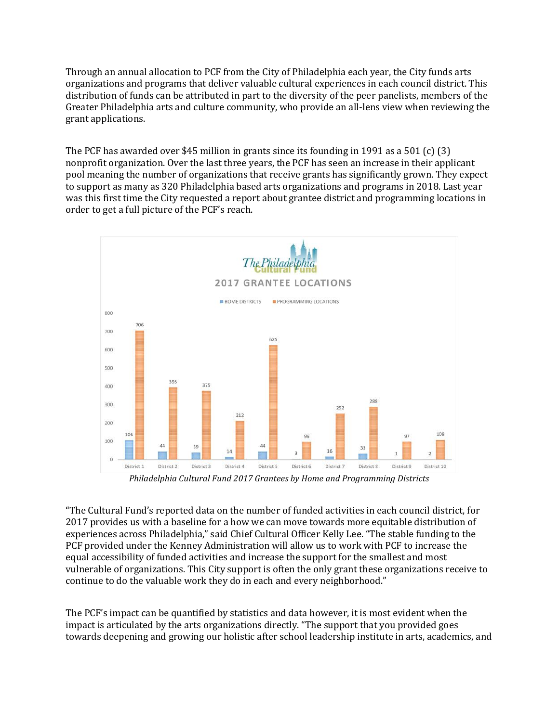Through an annual allocation to PCF from the City of Philadelphia each year, the City funds arts organizations and programs that deliver valuable cultural experiences in each council district. This distribution of funds can be attributed in part to the diversity of the peer panelists, members of the Greater Philadelphia arts and culture community, who provide an all-lens view when reviewing the grant applications.

The PCF has awarded over \$45 million in grants since its founding in 1991 as a 501 (c) (3) nonprofit organization. Over the last three years, the PCF has seen an increase in their applicant pool meaning the number of organizations that receive grants has significantly grown. They expect to support as many as 320 Philadelphia based arts organizations and programs in 2018. Last year was this first time the City requested a report about grantee district and programming locations in order to get a full picture of the PCF's reach.



*Philadelphia Cultural Fund 2017 Grantees by Home and Programming Districts*

"The Cultural Fund's reported data on the number of funded activities in each council district, for 2017 provides us with a baseline for a how we can move towards more equitable distribution of experiences across Philadelphia," said Chief Cultural Officer Kelly Lee. "The stable funding to the PCF provided under the Kenney Administration will allow us to work with PCF to increase the equal accessibility of funded activities and increase the support for the smallest and most vulnerable of organizations. This City support is often the only grant these organizations receive to continue to do the valuable work they do in each and every neighborhood."

The PCF's impact can be quantified by statistics and data however, it is most evident when the impact is articulated by the arts organizations directly. "The support that you provided goes towards deepening and growing our holistic after school leadership institute in arts, academics, and